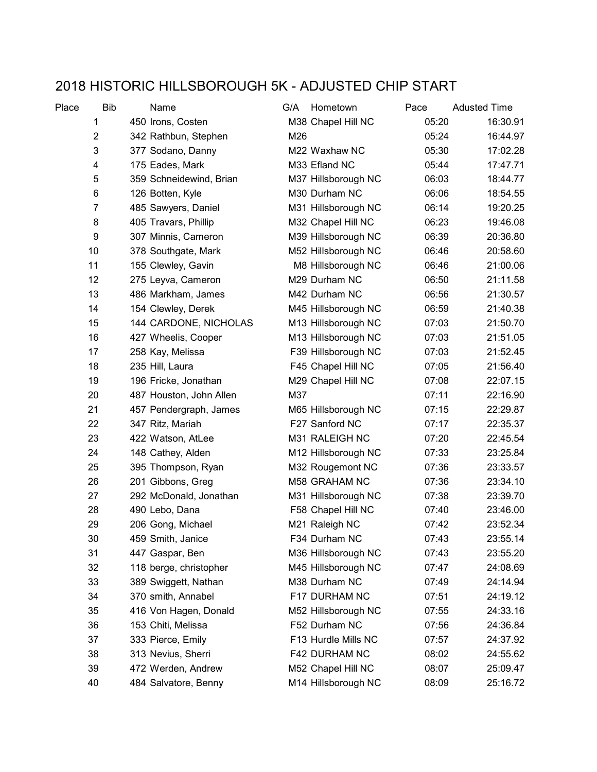## 2018 HISTORIC HILLSBOROUGH 5K - ADJUSTED CHIP START

| Place | <b>Bib</b>     | Name                    | G/A | Hometown            | Pace  | <b>Adusted Time</b> |
|-------|----------------|-------------------------|-----|---------------------|-------|---------------------|
|       | 1              | 450 Irons, Costen       |     | M38 Chapel Hill NC  | 05:20 | 16:30.91            |
|       | $\overline{2}$ | 342 Rathbun, Stephen    | M26 |                     | 05:24 | 16:44.97            |
|       | 3              | 377 Sodano, Danny       |     | M22 Waxhaw NC       | 05:30 | 17:02.28            |
|       | 4              | 175 Eades, Mark         |     | M33 Efland NC       | 05:44 | 17:47.71            |
|       | 5              | 359 Schneidewind, Brian |     | M37 Hillsborough NC | 06:03 | 18:44.77            |
|       | 6              | 126 Botten, Kyle        |     | M30 Durham NC       | 06:06 | 18:54.55            |
|       | $\overline{7}$ | 485 Sawyers, Daniel     |     | M31 Hillsborough NC | 06:14 | 19:20.25            |
|       | 8              | 405 Travars, Phillip    |     | M32 Chapel Hill NC  | 06:23 | 19:46.08            |
|       | 9              | 307 Minnis, Cameron     |     | M39 Hillsborough NC | 06:39 | 20:36.80            |
|       | 10             | 378 Southgate, Mark     |     | M52 Hillsborough NC | 06:46 | 20:58.60            |
|       | 11             | 155 Clewley, Gavin      |     | M8 Hillsborough NC  | 06:46 | 21:00.06            |
|       | 12             | 275 Leyva, Cameron      |     | M29 Durham NC       | 06:50 | 21:11.58            |
|       | 13             | 486 Markham, James      |     | M42 Durham NC       | 06:56 | 21:30.57            |
|       | 14             | 154 Clewley, Derek      |     | M45 Hillsborough NC | 06:59 | 21:40.38            |
|       | 15             | 144 CARDONE, NICHOLAS   |     | M13 Hillsborough NC | 07:03 | 21:50.70            |
|       | 16             | 427 Wheelis, Cooper     |     | M13 Hillsborough NC | 07:03 | 21:51.05            |
|       | 17             | 258 Kay, Melissa        |     | F39 Hillsborough NC | 07:03 | 21:52.45            |
|       | 18             | 235 Hill, Laura         |     | F45 Chapel Hill NC  | 07:05 | 21:56.40            |
|       | 19             | 196 Fricke, Jonathan    |     | M29 Chapel Hill NC  | 07:08 | 22:07.15            |
|       | 20             | 487 Houston, John Allen | M37 |                     | 07:11 | 22:16.90            |
|       | 21             | 457 Pendergraph, James  |     | M65 Hillsborough NC | 07:15 | 22:29.87            |
|       | 22             | 347 Ritz, Mariah        |     | F27 Sanford NC      | 07:17 | 22:35.37            |
|       | 23             | 422 Watson, AtLee       |     | M31 RALEIGH NC      | 07:20 | 22:45.54            |
|       | 24             | 148 Cathey, Alden       |     | M12 Hillsborough NC | 07:33 | 23:25.84            |
|       | 25             | 395 Thompson, Ryan      |     | M32 Rougemont NC    | 07:36 | 23:33.57            |
|       | 26             | 201 Gibbons, Greg       |     | M58 GRAHAM NC       | 07:36 | 23:34.10            |
|       | 27             | 292 McDonald, Jonathan  |     | M31 Hillsborough NC | 07:38 | 23:39.70            |
|       | 28             | 490 Lebo, Dana          |     | F58 Chapel Hill NC  | 07:40 | 23:46.00            |
|       | 29             | 206 Gong, Michael       |     | M21 Raleigh NC      | 07:42 | 23:52.34            |
|       | 30             | 459 Smith, Janice       |     | F34 Durham NC       | 07:43 | 23:55.14            |
|       | 31             | 447 Gaspar, Ben         |     | M36 Hillsborough NC | 07:43 | 23:55.20            |
|       | 32             | 118 berge, christopher  |     | M45 Hillsborough NC | 07:47 | 24:08.69            |
|       | 33             | 389 Swiggett, Nathan    |     | M38 Durham NC       | 07:49 | 24:14.94            |
|       | 34             | 370 smith, Annabel      |     | F17 DURHAM NC       | 07:51 | 24:19.12            |
|       | 35             | 416 Von Hagen, Donald   |     | M52 Hillsborough NC | 07:55 | 24:33.16            |
|       | 36             | 153 Chiti, Melissa      |     | F52 Durham NC       | 07:56 | 24:36.84            |
|       | 37             | 333 Pierce, Emily       |     | F13 Hurdle Mills NC | 07:57 | 24:37.92            |
|       | 38             | 313 Nevius, Sherri      |     | F42 DURHAM NC       | 08:02 | 24:55.62            |
|       | 39             | 472 Werden, Andrew      |     | M52 Chapel Hill NC  | 08:07 | 25:09.47            |
|       | 40             | 484 Salvatore, Benny    |     | M14 Hillsborough NC | 08:09 | 25:16.72            |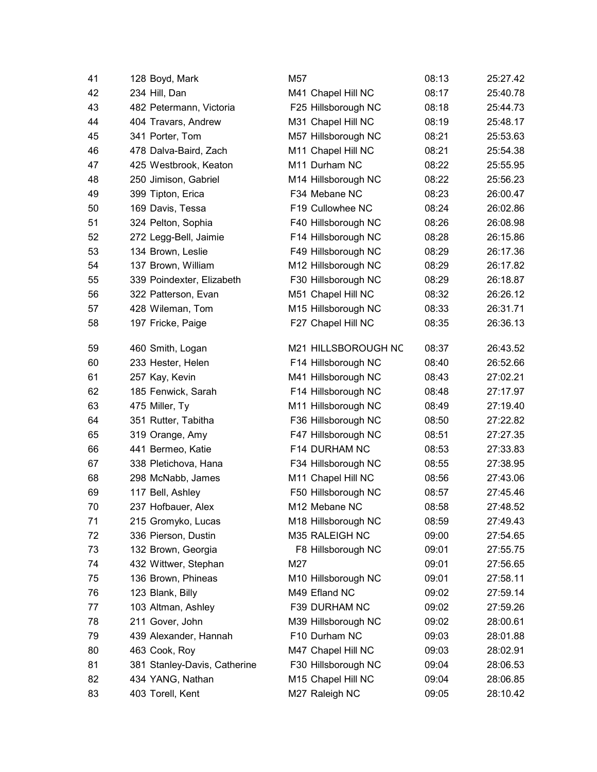| 41 | 128 Boyd, Mark               | M57                       | 08:13 | 25:27.42 |
|----|------------------------------|---------------------------|-------|----------|
| 42 | 234 Hill, Dan                | M41 Chapel Hill NC        | 08:17 | 25:40.78 |
| 43 | 482 Petermann, Victoria      | F25 Hillsborough NC       | 08:18 | 25:44.73 |
| 44 | 404 Travars, Andrew          | M31 Chapel Hill NC        | 08:19 | 25:48.17 |
| 45 | 341 Porter, Tom              | M57 Hillsborough NC       | 08:21 | 25:53.63 |
| 46 | 478 Dalva-Baird, Zach        | M11 Chapel Hill NC        | 08:21 | 25:54.38 |
| 47 | 425 Westbrook, Keaton        | M11 Durham NC             | 08:22 | 25:55.95 |
| 48 | 250 Jimison, Gabriel         | M14 Hillsborough NC       | 08:22 | 25:56.23 |
| 49 | 399 Tipton, Erica            | F34 Mebane NC             | 08:23 | 26:00.47 |
| 50 | 169 Davis, Tessa             | F19 Cullowhee NC          | 08:24 | 26:02.86 |
| 51 | 324 Pelton, Sophia           | F40 Hillsborough NC       | 08:26 | 26:08.98 |
| 52 | 272 Legg-Bell, Jaimie        | F14 Hillsborough NC       | 08:28 | 26:15.86 |
| 53 | 134 Brown, Leslie            | F49 Hillsborough NC       | 08:29 | 26:17.36 |
| 54 | 137 Brown, William           | M12 Hillsborough NC       | 08:29 | 26:17.82 |
| 55 | 339 Poindexter, Elizabeth    | F30 Hillsborough NC       | 08:29 | 26:18.87 |
| 56 | 322 Patterson, Evan          | M51 Chapel Hill NC        | 08:32 | 26:26.12 |
| 57 | 428 Wileman, Tom             | M15 Hillsborough NC       | 08:33 | 26:31.71 |
| 58 | 197 Fricke, Paige            | F27 Chapel Hill NC        | 08:35 | 26:36.13 |
| 59 | 460 Smith, Logan             | M21 HILLSBOROUGH NC       | 08:37 | 26:43.52 |
| 60 | 233 Hester, Helen            | F14 Hillsborough NC       | 08:40 | 26:52.66 |
| 61 | 257 Kay, Kevin               | M41 Hillsborough NC       | 08:43 | 27:02.21 |
| 62 | 185 Fenwick, Sarah           | F14 Hillsborough NC       | 08:48 | 27:17.97 |
| 63 | 475 Miller, Ty               | M11 Hillsborough NC       | 08:49 | 27:19.40 |
| 64 | 351 Rutter, Tabitha          | F36 Hillsborough NC       | 08:50 | 27:22.82 |
| 65 | 319 Orange, Amy              | F47 Hillsborough NC       | 08:51 | 27:27.35 |
| 66 | 441 Bermeo, Katie            | F14 DURHAM NC             | 08:53 | 27:33.83 |
| 67 | 338 Pletichova, Hana         | F34 Hillsborough NC       | 08:55 | 27:38.95 |
| 68 | 298 McNabb, James            | M11 Chapel Hill NC        | 08:56 | 27:43.06 |
| 69 | 117 Bell, Ashley             | F50 Hillsborough NC       | 08:57 | 27:45.46 |
| 70 | 237 Hofbauer, Alex           | M <sub>12</sub> Mebane NC | 08:58 | 27:48.52 |
| 71 | 215 Gromyko, Lucas           | M18 Hillsborough NC       | 08:59 | 27:49.43 |
| 72 | 336 Pierson, Dustin          | M35 RALEIGH NC            | 09:00 | 27:54.65 |
| 73 | 132 Brown, Georgia           | F8 Hillsborough NC        | 09:01 | 27:55.75 |
| 74 | 432 Wittwer, Stephan         | M27                       | 09:01 | 27:56.65 |
| 75 | 136 Brown, Phineas           | M10 Hillsborough NC       | 09:01 | 27:58.11 |
| 76 | 123 Blank, Billy             | M49 Efland NC             | 09:02 | 27:59.14 |
| 77 | 103 Altman, Ashley           | F39 DURHAM NC             | 09:02 | 27:59.26 |
| 78 | 211 Gover, John              | M39 Hillsborough NC       | 09:02 | 28:00.61 |
| 79 | 439 Alexander, Hannah        | F10 Durham NC             | 09:03 | 28:01.88 |
| 80 | 463 Cook, Roy                | M47 Chapel Hill NC        | 09:03 | 28:02.91 |
| 81 | 381 Stanley-Davis, Catherine | F30 Hillsborough NC       | 09:04 | 28:06.53 |
| 82 | 434 YANG, Nathan             | M15 Chapel Hill NC        | 09:04 | 28:06.85 |
| 83 | 403 Torell, Kent             | M27 Raleigh NC            | 09:05 | 28:10.42 |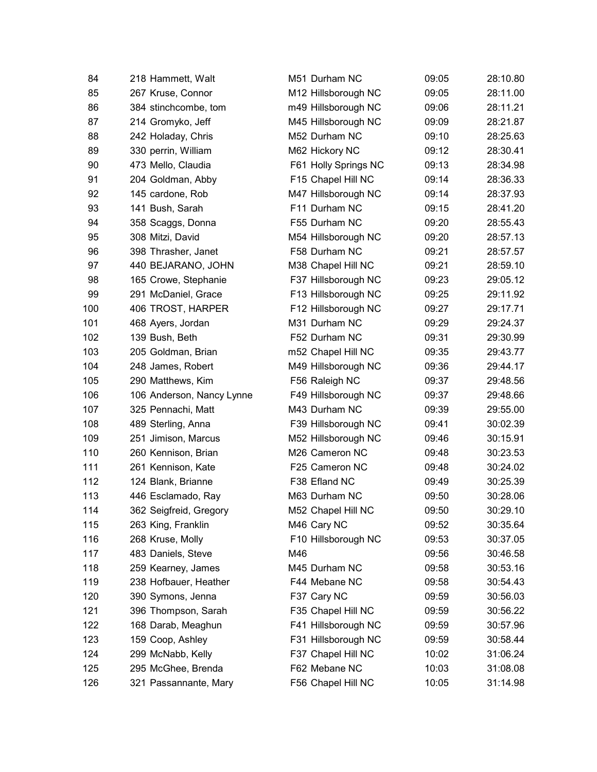| 84  | 218 Hammett, Walt         | M51 Durham NC        | 09:05 | 28:10.80 |
|-----|---------------------------|----------------------|-------|----------|
| 85  | 267 Kruse, Connor         | M12 Hillsborough NC  | 09:05 | 28:11.00 |
| 86  | 384 stinchcombe, tom      | m49 Hillsborough NC  | 09:06 | 28:11.21 |
| 87  | 214 Gromyko, Jeff         | M45 Hillsborough NC  | 09:09 | 28:21.87 |
| 88  | 242 Holaday, Chris        | M52 Durham NC        | 09:10 | 28:25.63 |
| 89  | 330 perrin, William       | M62 Hickory NC       | 09:12 | 28:30.41 |
| 90  | 473 Mello, Claudia        | F61 Holly Springs NC | 09:13 | 28:34.98 |
| 91  | 204 Goldman, Abby         | F15 Chapel Hill NC   | 09:14 | 28:36.33 |
| 92  | 145 cardone, Rob          | M47 Hillsborough NC  | 09:14 | 28:37.93 |
| 93  | 141 Bush, Sarah           | F11 Durham NC        | 09:15 | 28:41.20 |
| 94  | 358 Scaggs, Donna         | F55 Durham NC        | 09:20 | 28:55.43 |
| 95  | 308 Mitzi, David          | M54 Hillsborough NC  | 09:20 | 28:57.13 |
| 96  | 398 Thrasher, Janet       | F58 Durham NC        | 09:21 | 28:57.57 |
| 97  | 440 BEJARANO, JOHN        | M38 Chapel Hill NC   | 09:21 | 28:59.10 |
| 98  | 165 Crowe, Stephanie      | F37 Hillsborough NC  | 09:23 | 29:05.12 |
| 99  | 291 McDaniel, Grace       | F13 Hillsborough NC  | 09:25 | 29:11.92 |
| 100 | 406 TROST, HARPER         | F12 Hillsborough NC  | 09:27 | 29:17.71 |
| 101 | 468 Ayers, Jordan         | M31 Durham NC        | 09:29 | 29:24.37 |
| 102 | 139 Bush, Beth            | F52 Durham NC        | 09:31 | 29:30.99 |
| 103 | 205 Goldman, Brian        | m52 Chapel Hill NC   | 09:35 | 29:43.77 |
| 104 | 248 James, Robert         | M49 Hillsborough NC  | 09:36 | 29:44.17 |
| 105 | 290 Matthews, Kim         | F56 Raleigh NC       | 09:37 | 29:48.56 |
| 106 | 106 Anderson, Nancy Lynne | F49 Hillsborough NC  | 09:37 | 29:48.66 |
| 107 | 325 Pennachi, Matt        | M43 Durham NC        | 09:39 | 29:55.00 |
| 108 | 489 Sterling, Anna        | F39 Hillsborough NC  | 09:41 | 30:02.39 |
| 109 | 251 Jimison, Marcus       | M52 Hillsborough NC  | 09:46 | 30:15.91 |
| 110 | 260 Kennison, Brian       | M26 Cameron NC       | 09:48 | 30:23.53 |
| 111 | 261 Kennison, Kate        | F25 Cameron NC       | 09:48 | 30:24.02 |
| 112 | 124 Blank, Brianne        | F38 Efland NC        | 09:49 | 30:25.39 |
| 113 | 446 Esclamado, Ray        | M63 Durham NC        | 09:50 | 30:28.06 |
| 114 | 362 Seigfreid, Gregory    | M52 Chapel Hill NC   | 09:50 | 30:29.10 |
| 115 | 263 King, Franklin        | M46 Cary NC          | 09:52 | 30:35.64 |
| 116 | 268 Kruse, Molly          | F10 Hillsborough NC  | 09:53 | 30:37.05 |
| 117 | 483 Daniels, Steve        | M46                  | 09:56 | 30:46.58 |
| 118 | 259 Kearney, James        | M45 Durham NC        | 09:58 | 30:53.16 |
| 119 | 238 Hofbauer, Heather     | F44 Mebane NC        | 09:58 | 30:54.43 |
| 120 | 390 Symons, Jenna         | F37 Cary NC          | 09:59 | 30:56.03 |
| 121 | 396 Thompson, Sarah       | F35 Chapel Hill NC   | 09:59 | 30:56.22 |
| 122 | 168 Darab, Meaghun        | F41 Hillsborough NC  | 09:59 | 30:57.96 |
| 123 | 159 Coop, Ashley          | F31 Hillsborough NC  | 09:59 | 30:58.44 |
| 124 | 299 McNabb, Kelly         | F37 Chapel Hill NC   | 10:02 | 31:06.24 |
| 125 | 295 McGhee, Brenda        | F62 Mebane NC        | 10:03 | 31:08.08 |
| 126 | 321 Passannante, Mary     | F56 Chapel Hill NC   | 10:05 | 31:14.98 |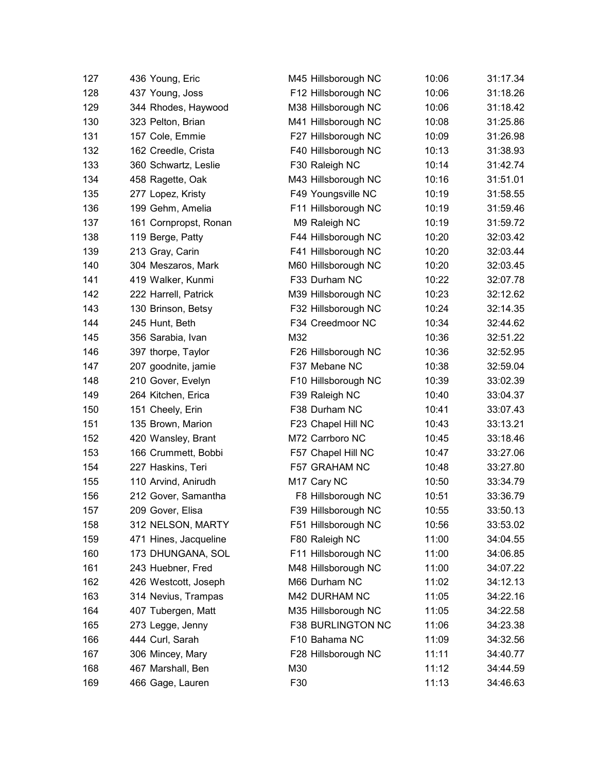| 127 | 436 Young, Eric       | M45 Hillsborough NC | 10:06 | 31:17.34 |
|-----|-----------------------|---------------------|-------|----------|
| 128 | 437 Young, Joss       | F12 Hillsborough NC | 10:06 | 31:18.26 |
| 129 | 344 Rhodes, Haywood   | M38 Hillsborough NC | 10:06 | 31:18.42 |
| 130 | 323 Pelton, Brian     | M41 Hillsborough NC | 10:08 | 31:25.86 |
| 131 | 157 Cole, Emmie       | F27 Hillsborough NC | 10:09 | 31:26.98 |
| 132 | 162 Creedle, Crista   | F40 Hillsborough NC | 10:13 | 31:38.93 |
| 133 | 360 Schwartz, Leslie  | F30 Raleigh NC      | 10:14 | 31:42.74 |
| 134 | 458 Ragette, Oak      | M43 Hillsborough NC | 10:16 | 31:51.01 |
| 135 | 277 Lopez, Kristy     | F49 Youngsville NC  | 10:19 | 31:58.55 |
| 136 | 199 Gehm, Amelia      | F11 Hillsborough NC | 10:19 | 31:59.46 |
| 137 | 161 Cornpropst, Ronan | M9 Raleigh NC       | 10:19 | 31:59.72 |
| 138 | 119 Berge, Patty      | F44 Hillsborough NC | 10:20 | 32:03.42 |
| 139 | 213 Gray, Carin       | F41 Hillsborough NC | 10:20 | 32:03.44 |
| 140 | 304 Meszaros, Mark    | M60 Hillsborough NC | 10:20 | 32:03.45 |
| 141 | 419 Walker, Kunmi     | F33 Durham NC       | 10:22 | 32:07.78 |
| 142 | 222 Harrell, Patrick  | M39 Hillsborough NC | 10:23 | 32:12.62 |
| 143 | 130 Brinson, Betsy    | F32 Hillsborough NC | 10:24 | 32:14.35 |
| 144 | 245 Hunt, Beth        | F34 Creedmoor NC    | 10:34 | 32:44.62 |
| 145 | 356 Sarabia, Ivan     | M32                 | 10:36 | 32:51.22 |
| 146 | 397 thorpe, Taylor    | F26 Hillsborough NC | 10:36 | 32:52.95 |
| 147 | 207 goodnite, jamie   | F37 Mebane NC       | 10:38 | 32:59.04 |
| 148 | 210 Gover, Evelyn     | F10 Hillsborough NC | 10:39 | 33:02.39 |
| 149 | 264 Kitchen, Erica    | F39 Raleigh NC      | 10:40 | 33:04.37 |
| 150 | 151 Cheely, Erin      | F38 Durham NC       | 10:41 | 33:07.43 |
| 151 | 135 Brown, Marion     | F23 Chapel Hill NC  | 10:43 | 33:13.21 |
| 152 | 420 Wansley, Brant    | M72 Carrboro NC     | 10:45 | 33:18.46 |
| 153 | 166 Crummett, Bobbi   | F57 Chapel Hill NC  | 10:47 | 33:27.06 |
| 154 | 227 Haskins, Teri     | F57 GRAHAM NC       | 10:48 | 33:27.80 |
| 155 | 110 Arvind, Anirudh   | M17 Cary NC         | 10:50 | 33:34.79 |
| 156 | 212 Gover, Samantha   | F8 Hillsborough NC  | 10:51 | 33:36.79 |
| 157 | 209 Gover, Elisa      | F39 Hillsborough NC | 10:55 | 33:50.13 |
| 158 | 312 NELSON, MARTY     | F51 Hillsborough NC | 10:56 | 33:53.02 |
| 159 | 471 Hines, Jacqueline | F80 Raleigh NC      | 11:00 | 34:04.55 |
| 160 | 173 DHUNGANA, SOL     | F11 Hillsborough NC | 11:00 | 34:06.85 |
| 161 | 243 Huebner, Fred     | M48 Hillsborough NC | 11:00 | 34:07.22 |
| 162 | 426 Westcott, Joseph  | M66 Durham NC       | 11:02 | 34:12.13 |
| 163 | 314 Nevius, Trampas   | M42 DURHAM NC       | 11:05 | 34:22.16 |
| 164 | 407 Tubergen, Matt    | M35 Hillsborough NC | 11:05 | 34:22.58 |
| 165 | 273 Legge, Jenny      | F38 BURLINGTON NC   | 11:06 | 34:23.38 |
| 166 | 444 Curl, Sarah       | F10 Bahama NC       | 11:09 | 34:32.56 |
| 167 | 306 Mincey, Mary      | F28 Hillsborough NC | 11:11 | 34:40.77 |
| 168 | 467 Marshall, Ben     | M30                 | 11:12 | 34:44.59 |
| 169 | 466 Gage, Lauren      | F30                 | 11:13 | 34:46.63 |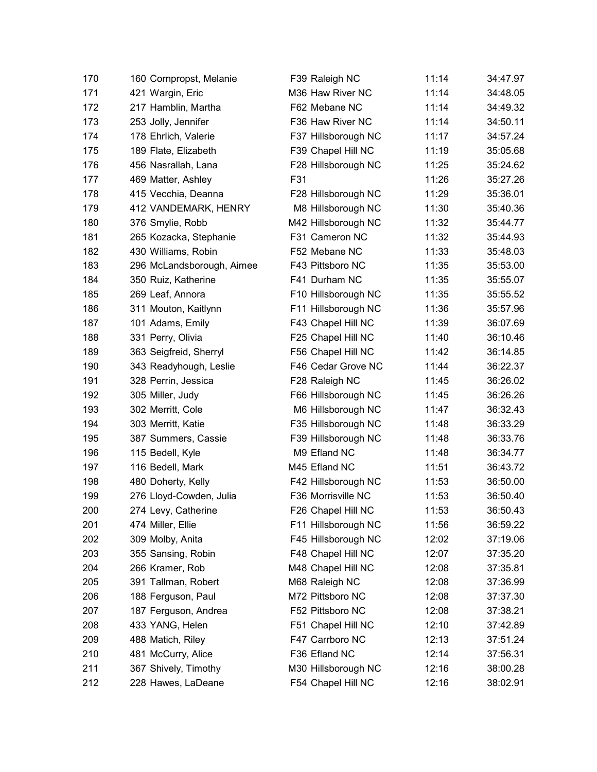| 170 | 160 Cornpropst, Melanie   | F39 Raleigh NC      | 11:14 | 34:47.97 |
|-----|---------------------------|---------------------|-------|----------|
| 171 | 421 Wargin, Eric          | M36 Haw River NC    | 11:14 | 34:48.05 |
| 172 | 217 Hamblin, Martha       | F62 Mebane NC       | 11:14 | 34:49.32 |
| 173 | 253 Jolly, Jennifer       | F36 Haw River NC    | 11:14 | 34:50.11 |
| 174 | 178 Ehrlich, Valerie      | F37 Hillsborough NC | 11:17 | 34:57.24 |
| 175 | 189 Flate, Elizabeth      | F39 Chapel Hill NC  | 11:19 | 35:05.68 |
| 176 | 456 Nasrallah, Lana       | F28 Hillsborough NC | 11:25 | 35:24.62 |
| 177 | 469 Matter, Ashley        | F31                 | 11:26 | 35:27.26 |
| 178 | 415 Vecchia, Deanna       | F28 Hillsborough NC | 11:29 | 35:36.01 |
| 179 | 412 VANDEMARK, HENRY      | M8 Hillsborough NC  | 11:30 | 35:40.36 |
| 180 | 376 Smylie, Robb          | M42 Hillsborough NC | 11:32 | 35:44.77 |
| 181 | 265 Kozacka, Stephanie    | F31 Cameron NC      | 11:32 | 35:44.93 |
| 182 | 430 Williams, Robin       | F52 Mebane NC       | 11:33 | 35:48.03 |
| 183 | 296 McLandsborough, Aimee | F43 Pittsboro NC    | 11:35 | 35:53.00 |
| 184 | 350 Ruiz, Katherine       | F41 Durham NC       | 11:35 | 35:55.07 |
| 185 | 269 Leaf, Annora          | F10 Hillsborough NC | 11:35 | 35:55.52 |
| 186 | 311 Mouton, Kaitlynn      | F11 Hillsborough NC | 11:36 | 35:57.96 |
| 187 | 101 Adams, Emily          | F43 Chapel Hill NC  | 11:39 | 36:07.69 |
| 188 | 331 Perry, Olivia         | F25 Chapel Hill NC  | 11:40 | 36:10.46 |
| 189 | 363 Seigfreid, Sherryl    | F56 Chapel Hill NC  | 11:42 | 36:14.85 |
| 190 | 343 Readyhough, Leslie    | F46 Cedar Grove NC  | 11:44 | 36:22.37 |
| 191 | 328 Perrin, Jessica       | F28 Raleigh NC      | 11:45 | 36:26.02 |
| 192 | 305 Miller, Judy          | F66 Hillsborough NC | 11:45 | 36:26.26 |
| 193 | 302 Merritt, Cole         | M6 Hillsborough NC  | 11:47 | 36:32.43 |
| 194 | 303 Merritt, Katie        | F35 Hillsborough NC | 11:48 | 36:33.29 |
| 195 | 387 Summers, Cassie       | F39 Hillsborough NC | 11:48 | 36:33.76 |
| 196 | 115 Bedell, Kyle          | M9 Efland NC        | 11:48 | 36:34.77 |
| 197 | 116 Bedell, Mark          | M45 Efland NC       | 11:51 | 36:43.72 |
| 198 | 480 Doherty, Kelly        | F42 Hillsborough NC | 11:53 | 36:50.00 |
| 199 | 276 Lloyd-Cowden, Julia   | F36 Morrisville NC  | 11:53 | 36:50.40 |
| 200 | 274 Levy, Catherine       | F26 Chapel Hill NC  | 11:53 | 36:50.43 |
| 201 | 474 Miller, Ellie         | F11 Hillsborough NC | 11:56 | 36:59.22 |
| 202 | 309 Molby, Anita          | F45 Hillsborough NC | 12:02 | 37:19.06 |
| 203 | 355 Sansing, Robin        | F48 Chapel Hill NC  | 12:07 | 37:35.20 |
| 204 | 266 Kramer, Rob           | M48 Chapel Hill NC  | 12:08 | 37:35.81 |
| 205 | 391 Tallman, Robert       | M68 Raleigh NC      | 12:08 | 37:36.99 |
| 206 | 188 Ferguson, Paul        | M72 Pittsboro NC    | 12:08 | 37:37.30 |
| 207 | 187 Ferguson, Andrea      | F52 Pittsboro NC    | 12:08 | 37:38.21 |
| 208 | 433 YANG, Helen           | F51 Chapel Hill NC  | 12:10 | 37:42.89 |
| 209 | 488 Matich, Riley         | F47 Carrboro NC     | 12:13 | 37:51.24 |
| 210 | 481 McCurry, Alice        | F36 Efland NC       | 12:14 | 37:56.31 |
| 211 | 367 Shively, Timothy      | M30 Hillsborough NC | 12:16 | 38:00.28 |
| 212 | 228 Hawes, LaDeane        | F54 Chapel Hill NC  | 12:16 | 38:02.91 |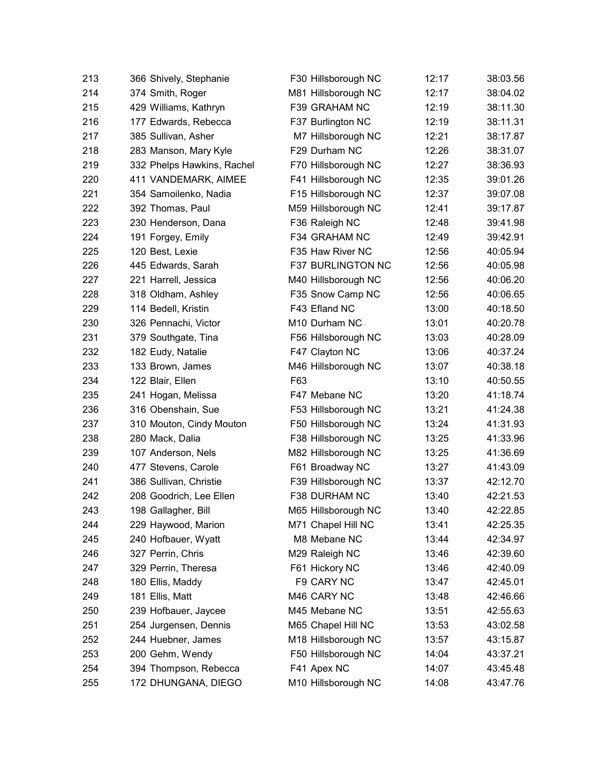| 213 | 366 Shively, Stephanie     | F30 Hillsborough NC      | 12:17 | 38:03.56 |
|-----|----------------------------|--------------------------|-------|----------|
| 214 | 374 Smith, Roger           | M81 Hillsborough NC      | 12:17 | 38:04.02 |
| 215 | 429 Williams, Kathryn      | F39 GRAHAM NC            | 12:19 | 38:11.30 |
| 216 | 177 Edwards, Rebecca       | F37 Burlington NC        | 12:19 | 38:11.31 |
| 217 | 385 Sullivan, Asher        | M7 Hillsborough NC       | 12:21 | 38:17.87 |
| 218 | 283 Manson, Mary Kyle      | F29 Durham NC            | 12:26 | 38:31.07 |
| 219 | 332 Phelps Hawkins, Rachel | F70 Hillsborough NC      | 12:27 | 38:36.93 |
| 220 | 411 VANDEMARK, AIMEE       | F41 Hillsborough NC      | 12:35 | 39:01.26 |
| 221 | 354 Samoilenko, Nadia      | F15 Hillsborough NC      | 12:37 | 39:07.08 |
| 222 | 392 Thomas, Paul           | M59 Hillsborough NC      | 12:41 | 39:17.87 |
| 223 | 230 Henderson, Dana        | F36 Raleigh NC           | 12:48 | 39:41.98 |
| 224 | 191 Forgey, Emily          | F34 GRAHAM NC            | 12:49 | 39:42.91 |
| 225 | 120 Best, Lexie            | F35 Haw River NC         | 12:56 | 40:05.94 |
| 226 | 445 Edwards, Sarah         | <b>F37 BURLINGTON NC</b> | 12:56 | 40:05.98 |
| 227 | 221 Harrell, Jessica       | M40 Hillsborough NC      | 12:56 | 40:06.20 |
| 228 | 318 Oldham, Ashley         | F35 Snow Camp NC         | 12:56 | 40:06.65 |
| 229 | 114 Bedell, Kristin        | F43 Efland NC            | 13:00 | 40:18.50 |
| 230 | 326 Pennachi, Victor       | M10 Durham NC            | 13:01 | 40:20.78 |
| 231 | 379 Southgate, Tina        | F56 Hillsborough NC      | 13:03 | 40:28.09 |
| 232 | 182 Eudy, Natalie          | F47 Clayton NC           | 13:06 | 40:37.24 |
| 233 | 133 Brown, James           | M46 Hillsborough NC      | 13:07 | 40:38.18 |
| 234 | 122 Blair, Ellen           | F63                      | 13:10 | 40:50.55 |
| 235 | 241 Hogan, Melissa         | F47 Mebane NC            | 13:20 | 41:18.74 |
| 236 | 316 Obenshain, Sue         | F53 Hillsborough NC      | 13:21 | 41:24.38 |
| 237 | 310 Mouton, Cindy Mouton   | F50 Hillsborough NC      | 13:24 | 41:31.93 |
| 238 | 280 Mack, Dalia            | F38 Hillsborough NC      | 13:25 | 41:33.96 |
| 239 | 107 Anderson, Nels         | M82 Hillsborough NC      | 13:25 | 41:36.69 |
| 240 | 477 Stevens, Carole        | F61 Broadway NC          | 13:27 | 41:43.09 |
| 241 | 386 Sullivan, Christie     | F39 Hillsborough NC      | 13:37 | 42:12.70 |
| 242 | 208 Goodrich, Lee Ellen    | F38 DURHAM NC            | 13:40 | 42:21.53 |
| 243 | 198 Gallagher, Bill        | M65 Hillsborough NC      | 13:40 | 42:22.85 |
| 244 | 229 Haywood, Marion        | M71 Chapel Hill NC       | 13:41 | 42:25.35 |
| 245 | 240 Hofbauer, Wyatt        | M8 Mebane NC             | 13:44 | 42:34.97 |
| 246 | 327 Perrin, Chris          | M29 Raleigh NC           | 13:46 | 42:39.60 |
| 247 | 329 Perrin, Theresa        | F61 Hickory NC           | 13:46 | 42:40.09 |
| 248 | 180 Ellis, Maddy           | F9 CARY NC               | 13:47 | 42:45.01 |
| 249 | 181 Ellis, Matt            | M46 CARY NC              | 13:48 | 42:46.66 |
| 250 | 239 Hofbauer, Jaycee       | M45 Mebane NC            | 13:51 | 42:55.63 |
| 251 | 254 Jurgensen, Dennis      | M65 Chapel Hill NC       | 13:53 | 43:02.58 |
| 252 | 244 Huebner, James         | M18 Hillsborough NC      | 13:57 | 43:15.87 |
| 253 | 200 Gehm, Wendy            | F50 Hillsborough NC      | 14:04 | 43:37.21 |
| 254 | 394 Thompson, Rebecca      | F41 Apex NC              | 14:07 | 43:45.48 |
| 255 | 172 DHUNGANA, DIEGO        | M10 Hillsborough NC      | 14:08 | 43:47.76 |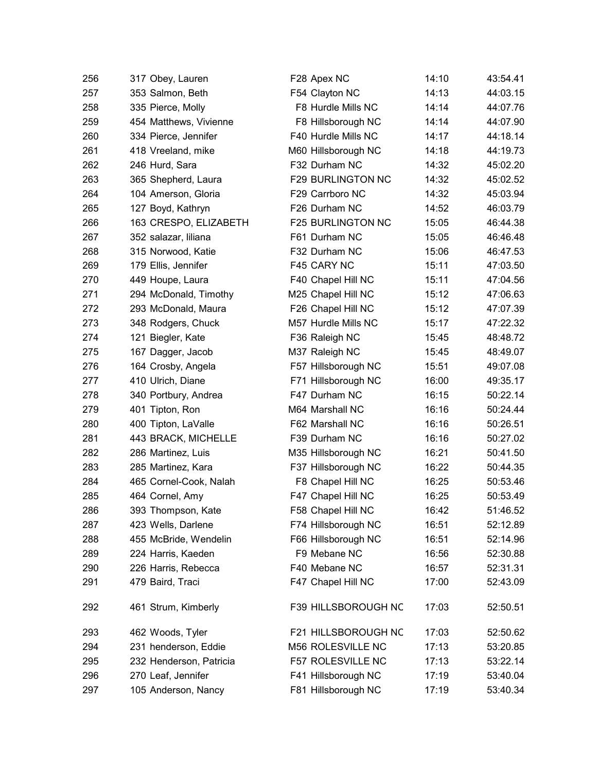| 256 | 317 Obey, Lauren        | F28 Apex NC              | 14:10 | 43:54.41 |
|-----|-------------------------|--------------------------|-------|----------|
| 257 | 353 Salmon, Beth        | F54 Clayton NC           | 14:13 | 44:03.15 |
| 258 | 335 Pierce, Molly       | F8 Hurdle Mills NC       | 14:14 | 44:07.76 |
| 259 | 454 Matthews, Vivienne  | F8 Hillsborough NC       | 14:14 | 44:07.90 |
| 260 | 334 Pierce, Jennifer    | F40 Hurdle Mills NC      | 14:17 | 44:18.14 |
| 261 | 418 Vreeland, mike      | M60 Hillsborough NC      | 14:18 | 44:19.73 |
| 262 | 246 Hurd, Sara          | F32 Durham NC            | 14:32 | 45:02.20 |
| 263 | 365 Shepherd, Laura     | <b>F29 BURLINGTON NC</b> | 14:32 | 45:02.52 |
| 264 | 104 Amerson, Gloria     | F29 Carrboro NC          | 14:32 | 45:03.94 |
| 265 | 127 Boyd, Kathryn       | F26 Durham NC            | 14:52 | 46:03.79 |
| 266 | 163 CRESPO, ELIZABETH   | F25 BURLINGTON NC        | 15:05 | 46:44.38 |
| 267 | 352 salazar, liliana    | F61 Durham NC            | 15:05 | 46:46.48 |
| 268 | 315 Norwood, Katie      | F32 Durham NC            | 15:06 | 46:47.53 |
| 269 | 179 Ellis, Jennifer     | F45 CARY NC              | 15:11 | 47:03.50 |
| 270 | 449 Houpe, Laura        | F40 Chapel Hill NC       | 15:11 | 47:04.56 |
| 271 | 294 McDonald, Timothy   | M25 Chapel Hill NC       | 15:12 | 47:06.63 |
| 272 | 293 McDonald, Maura     | F26 Chapel Hill NC       | 15:12 | 47:07.39 |
| 273 | 348 Rodgers, Chuck      | M57 Hurdle Mills NC      | 15:17 | 47:22.32 |
| 274 | 121 Biegler, Kate       | F36 Raleigh NC           | 15:45 | 48:48.72 |
| 275 | 167 Dagger, Jacob       | M37 Raleigh NC           | 15:45 | 48:49.07 |
| 276 | 164 Crosby, Angela      | F57 Hillsborough NC      | 15:51 | 49:07.08 |
| 277 | 410 Ulrich, Diane       | F71 Hillsborough NC      | 16:00 | 49:35.17 |
| 278 | 340 Portbury, Andrea    | F47 Durham NC            | 16:15 | 50:22.14 |
| 279 | 401 Tipton, Ron         | M64 Marshall NC          | 16:16 | 50:24.44 |
| 280 | 400 Tipton, LaValle     | F62 Marshall NC          | 16:16 | 50:26.51 |
| 281 | 443 BRACK, MICHELLE     | F39 Durham NC            | 16:16 | 50:27.02 |
| 282 | 286 Martinez, Luis      | M35 Hillsborough NC      | 16:21 | 50:41.50 |
| 283 | 285 Martinez, Kara      | F37 Hillsborough NC      | 16:22 | 50:44.35 |
| 284 | 465 Cornel-Cook, Nalah  | F8 Chapel Hill NC        | 16:25 | 50:53.46 |
| 285 | 464 Cornel, Amy         | F47 Chapel Hill NC       | 16:25 | 50:53.49 |
| 286 | 393 Thompson, Kate      | F58 Chapel Hill NC       | 16:42 | 51:46.52 |
| 287 | 423 Wells, Darlene      | F74 Hillsborough NC      | 16:51 | 52:12.89 |
| 288 | 455 McBride, Wendelin   | F66 Hillsborough NC      | 16:51 | 52:14.96 |
| 289 | 224 Harris, Kaeden      | F9 Mebane NC             | 16:56 | 52:30.88 |
| 290 | 226 Harris, Rebecca     | F40 Mebane NC            | 16:57 | 52:31.31 |
| 291 | 479 Baird, Traci        | F47 Chapel Hill NC       | 17:00 | 52:43.09 |
| 292 | 461 Strum, Kimberly     | F39 HILLSBOROUGH NC      | 17:03 | 52:50.51 |
| 293 | 462 Woods, Tyler        | F21 HILLSBOROUGH NC      | 17:03 | 52:50.62 |
| 294 | 231 henderson, Eddie    | M56 ROLESVILLE NC        | 17:13 | 53:20.85 |
| 295 | 232 Henderson, Patricia | F57 ROLESVILLE NC        | 17:13 | 53:22.14 |
| 296 | 270 Leaf, Jennifer      | F41 Hillsborough NC      | 17:19 | 53:40.04 |
| 297 | 105 Anderson, Nancy     | F81 Hillsborough NC      | 17:19 | 53:40.34 |